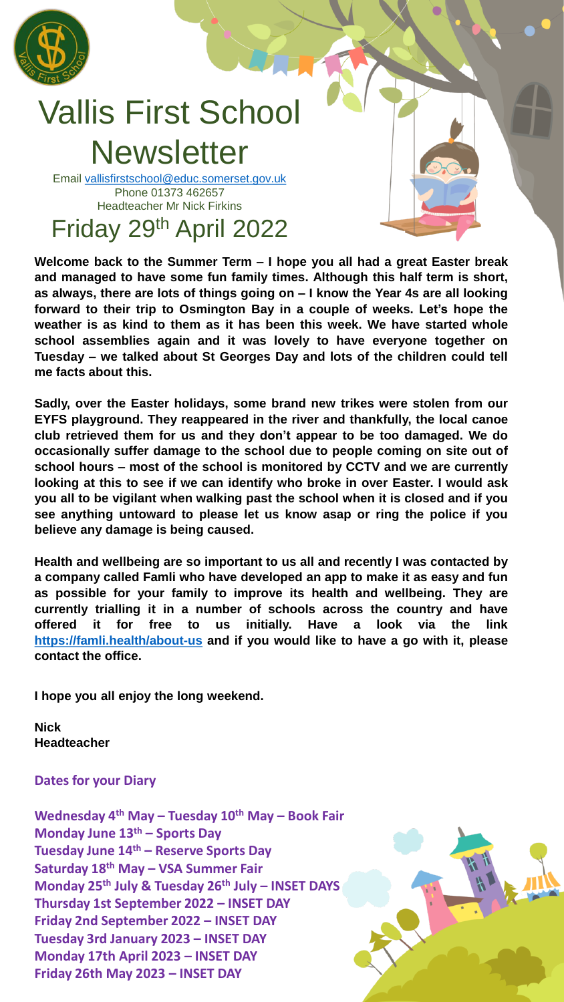

## Vallis First School **Newsletter**

Email [vallisfirstschool@educ.somerset.gov.uk](mailto:vallisfirstschool@educ.somerset.gov.uk) Phone 01373 462657 Headteacher Mr Nick Firkins Friday 29th April 2022

**Welcome back to the Summer Term – I hope you all had a great Easter break and managed to have some fun family times. Although this half term is short, as always, there are lots of things going on – I know the Year 4s are all looking forward to their trip to Osmington Bay in a couple of weeks. Let's hope the weather is as kind to them as it has been this week. We have started whole school assemblies again and it was lovely to have everyone together on Tuesday – we talked about St Georges Day and lots of the children could tell me facts about this.**

**Sadly, over the Easter holidays, some brand new trikes were stolen from our EYFS playground. They reappeared in the river and thankfully, the local canoe club retrieved them for us and they don't appear to be too damaged. We do occasionally suffer damage to the school due to people coming on site out of school hours – most of the school is monitored by CCTV and we are currently looking at this to see if we can identify who broke in over Easter. I would ask you all to be vigilant when walking past the school when it is closed and if you see anything untoward to please let us know asap or ring the police if you believe any damage is being caused.**

**Health and wellbeing are so important to us all and recently I was contacted by a company called Famli who have developed an app to make it as easy and fun as possible for your family to improve its health and wellbeing. They are currently trialling it in a number of schools across the country and have offered it for free to us initially. Have a look via the link <https://famli.health/about-us> and if you would like to have a go with it, please contact the office.**

**I hope you all enjoy the long weekend.**

**Nick Headteacher**

## **Dates for your Diary**

**Wednesday 4th May – Tuesday 10th May – Book Fair Monday June 13th – Sports Day Tuesday June 14th – Reserve Sports Day Saturday 18th May – VSA Summer Fair Monday 25th July & Tuesday 26th July – INSET DAYS Thursday 1st September 2022 – INSET DAY Friday 2nd September 2022 – INSET DAY Tuesday 3rd January 2023 – INSET DAY Monday 17th April 2023 – INSET DAY Friday 26th May 2023 – INSET DAY**